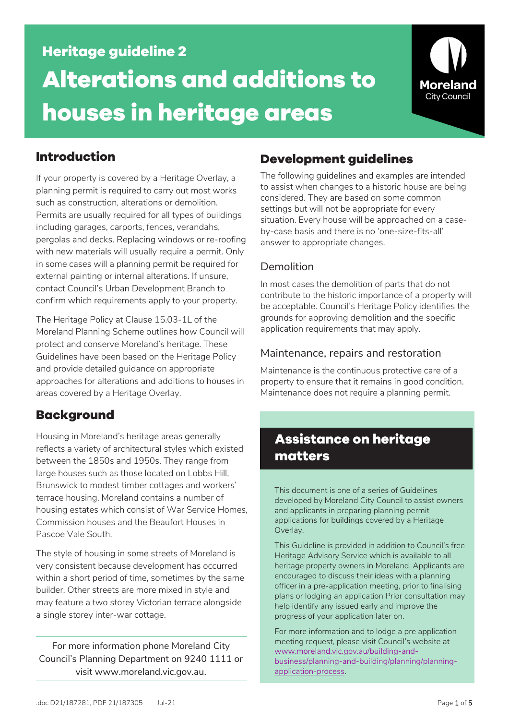# **Heritage guideline 2 Alterations and additions to houses in heritage areas**



# **Introduction**

If your property is covered by a Heritage Overlay, a planning permit is required to carry out most works such as construction, alterations or demolition. Permits are usually required for all types of buildings including garages, carports, fences, verandahs, pergolas and decks. Replacing windows or re-roofing with new materials will usually require a permit. Only in some cases will a planning permit be required for external painting or internal alterations. If unsure, contact Council's Urban Development Branch to confirm which requirements apply to your property.

The Heritage Policy at Clause 15.03-1L of the Moreland Planning Scheme outlines how Council will protect and conserve Moreland's heritage. These Guidelines have been based on the Heritage Policy and provide detailed guidance on appropriate approaches for alterations and additions to houses in areas covered by a Heritage Overlay.

# **Background**

Housing in Moreland's heritage areas generally reflects a variety of architectural styles which existed between the 1850s and 1950s. They range from large houses such as those located on Lobbs Hill, Brunswick to modest timber cottages and workers' terrace housing. Moreland contains a number of housing estates which consist of War Service Homes, Commission houses and the Beaufort Houses in Pascoe Vale South.

The style of housing in some streets of Moreland is very consistent because development has occurred within a short period of time, sometimes by the same builder. Other streets are more mixed in style and may feature a two storey Victorian terrace alongside a single storey inter-war cottage.

For more information phone Moreland City Council's Planning Department on 9240 1111 or visit www.moreland.vic.gov.au.

# **Development guidelines**

The following guidelines and examples are intended to assist when changes to a historic house are being considered. They are based on some common settings but will not be appropriate for every situation. Every house will be approached on a caseby-case basis and there is no 'one-size-fits-all' answer to appropriate changes.

# Demolition

In most cases the demolition of parts that do not contribute to the historic importance of a property will be acceptable. Council's Heritage Policy identifies the grounds for approving demolition and the specific application requirements that may apply.

# Maintenance, repairs and restoration

Maintenance is the continuous protective care of a property to ensure that it remains in good condition. Maintenance does not require a planning permit.

# **Assistance on heritage matters**

This document is one of a series of Guidelines developed by Moreland City Council to assist owners and applicants in preparing planning permit applications for buildings covered by a Heritage Overlay.

This Guideline is provided in addition to Council's free Heritage Advisory Service which is available to all heritage property owners in Moreland. Applicants are encouraged to discuss their ideas with a planning officer in a pre-application meeting, prior to finalising plans or lodging an application Prior consultation may help identify any issued early and improve the progress of your application later on.

For more information and to lodge a pre application meeting request, please visit Council's website at [www.moreland.vic.gov.au/building-and](http://www.moreland.vic.gov.au/building-and-business/planning-and-building/planning/planning-application-process)[business/planning-and-building/planning/planning](http://www.moreland.vic.gov.au/building-and-business/planning-and-building/planning/planning-application-process)[application-process.](http://www.moreland.vic.gov.au/building-and-business/planning-and-building/planning/planning-application-process)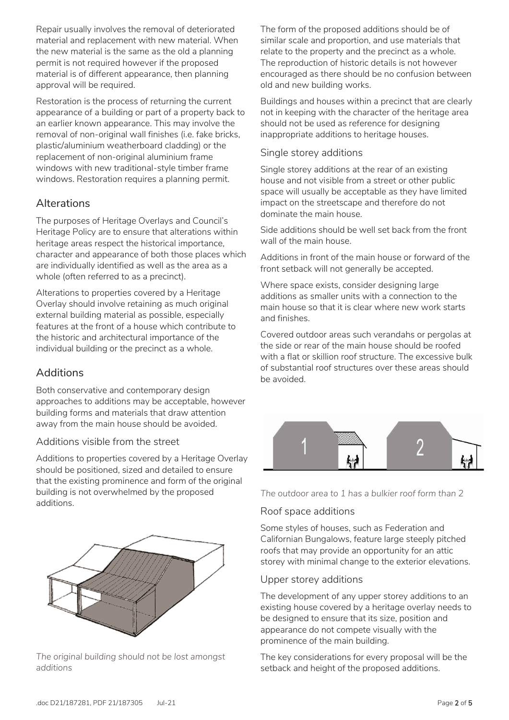Repair usually involves the removal of deteriorated material and replacement with new material. When the new material is the same as the old a planning permit is not required however if the proposed material is of different appearance, then planning approval will be required.

Restoration is the process of returning the current appearance of a building or part of a property back to an earlier known appearance. This may involve the removal of non-original wall finishes (i.e. fake bricks, plastic/aluminium weatherboard cladding) or the replacement of non-original aluminium frame windows with new traditional-style timber frame windows. Restoration requires a planning permit.

# Alterations

The purposes of Heritage Overlays and Council's Heritage Policy are to ensure that alterations within heritage areas respect the historical importance, character and appearance of both those places which are individually identified as well as the area as a whole (often referred to as a precinct).

Alterations to properties covered by a Heritage Overlay should involve retaining as much original external building material as possible, especially features at the front of a house which contribute to the historic and architectural importance of the individual building or the precinct as a whole.

## Additions

Both conservative and contemporary design approaches to additions may be acceptable, however building forms and materials that draw attention away from the main house should be avoided.

## Additions visible from the street

Additions to properties covered by a Heritage Overlay should be positioned, sized and detailed to ensure that the existing prominence and form of the original building is not overwhelmed by the proposed additions.



*The original building should not be lost amongst additions*

The form of the proposed additions should be of similar scale and proportion, and use materials that relate to the property and the precinct as a whole. The reproduction of historic details is not however encouraged as there should be no confusion between old and new building works.

Buildings and houses within a precinct that are clearly not in keeping with the character of the heritage area should not be used as reference for designing inappropriate additions to heritage houses.

#### Single storey additions

Single storey additions at the rear of an existing house and not visible from a street or other public space will usually be acceptable as they have limited impact on the streetscape and therefore do not dominate the main house.

Side additions should be well set back from the front wall of the main house.

Additions in front of the main house or forward of the front setback will not generally be accepted.

Where space exists, consider designing large additions as smaller units with a connection to the main house so that it is clear where new work starts and finishes.

Covered outdoor areas such verandahs or pergolas at the side or rear of the main house should be roofed with a flat or skillion roof structure. The excessive bulk of substantial roof structures over these areas should be avoided.



*The outdoor area to 1 has a bulkier roof form than 2*

## Roof space additions

Some styles of houses, such as Federation and Californian Bungalows, feature large steeply pitched roofs that may provide an opportunity for an attic storey with minimal change to the exterior elevations.

#### Upper storey additions

The development of any upper storey additions to an existing house covered by a heritage overlay needs to be designed to ensure that its size, position and appearance do not compete visually with the prominence of the main building.

The key considerations for every proposal will be the setback and height of the proposed additions.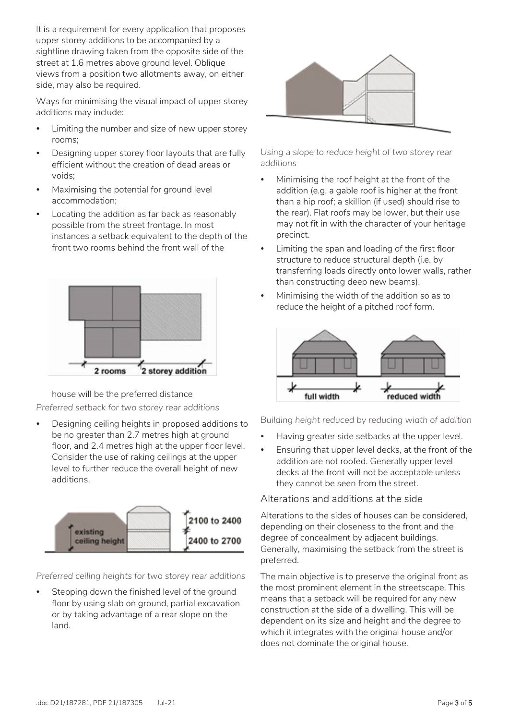It is a requirement for every application that proposes upper storey additions to be accompanied by a sightline drawing taken from the opposite side of the street at 1.6 metres above ground level. Oblique views from a position two allotments away, on either side, may also be required.

Ways for minimising the visual impact of upper storey additions may include:

- Limiting the number and size of new upper storey rooms;
- Designing upper storey floor layouts that are fully efficient without the creation of dead areas or voids;
- Maximising the potential for ground level accommodation;
- Locating the addition as far back as reasonably possible from the street frontage. In most instances a setback equivalent to the depth of the front two rooms behind the front wall of the



house will be the preferred distance *Preferred setback for two storey rear additions*

 Designing ceiling heights in proposed additions to be no greater than 2.7 metres high at ground floor, and 2.4 metres high at the upper floor level. Consider the use of raking ceilings at the upper level to further reduce the overall height of new additions.



*Preferred ceiling heights for two storey rear additions*

 Stepping down the finished level of the ground floor by using slab on ground, partial excavation or by taking advantage of a rear slope on the land.



*Using a slope to reduce height of two storey rear additions*

- Minimising the roof height at the front of the addition (e.g. a gable roof is higher at the front than a hip roof; a skillion (if used) should rise to the rear). Flat roofs may be lower, but their use may not fit in with the character of your heritage precinct.
- Limiting the span and loading of the first floor structure to reduce structural depth (i.e. by transferring loads directly onto lower walls, rather than constructing deep new beams).
- Minimising the width of the addition so as to reduce the height of a pitched roof form.



*Building height reduced by reducing width of addition*

- Having greater side setbacks at the upper level.
- Ensuring that upper level decks, at the front of the addition are not roofed. Generally upper level decks at the front will not be acceptable unless they cannot be seen from the street.

Alterations and additions at the side

Alterations to the sides of houses can be considered, depending on their closeness to the front and the degree of concealment by adjacent buildings. Generally, maximising the setback from the street is preferred.

The main objective is to preserve the original front as the most prominent element in the streetscape. This means that a setback will be required for any new construction at the side of a dwelling. This will be dependent on its size and height and the degree to which it integrates with the original house and/or does not dominate the original house.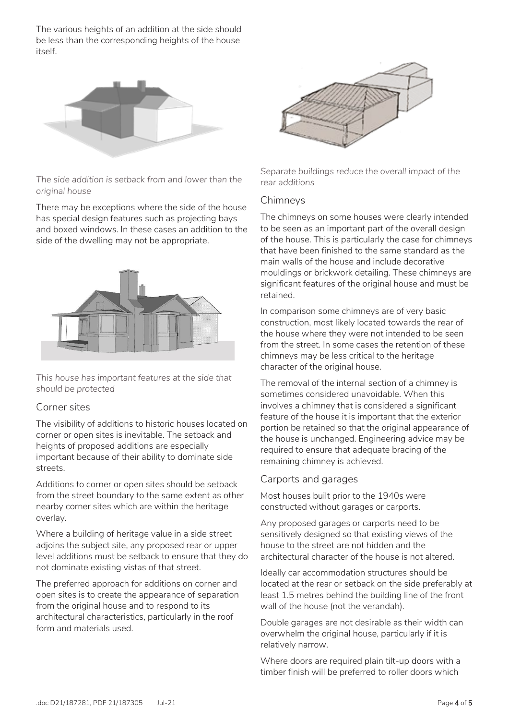The various heights of an addition at the side should be less than the corresponding heights of the house itself.



*The side addition is setback from and lower than the original house*

There may be exceptions where the side of the house has special design features such as projecting bays and boxed windows. In these cases an addition to the side of the dwelling may not be appropriate.



*This house has important features at the side that should be protected*

#### Corner sites

The visibility of additions to historic houses located on corner or open sites is inevitable. The setback and heights of proposed additions are especially important because of their ability to dominate side streets.

Additions to corner or open sites should be setback from the street boundary to the same extent as other nearby corner sites which are within the heritage overlay.

Where a building of heritage value in a side street adjoins the subject site, any proposed rear or upper level additions must be setback to ensure that they do not dominate existing vistas of that street.

The preferred approach for additions on corner and open sites is to create the appearance of separation from the original house and to respond to its architectural characteristics, particularly in the roof form and materials used.



*Separate buildings reduce the overall impact of the rear additions*

#### Chimneys

The chimneys on some houses were clearly intended to be seen as an important part of the overall design of the house. This is particularly the case for chimneys that have been finished to the same standard as the main walls of the house and include decorative mouldings or brickwork detailing. These chimneys are significant features of the original house and must be retained.

In comparison some chimneys are of very basic construction, most likely located towards the rear of the house where they were not intended to be seen from the street. In some cases the retention of these chimneys may be less critical to the heritage character of the original house.

The removal of the internal section of a chimney is sometimes considered unavoidable. When this involves a chimney that is considered a significant feature of the house it is important that the exterior portion be retained so that the original appearance of the house is unchanged. Engineering advice may be required to ensure that adequate bracing of the remaining chimney is achieved.

## Carports and garages

Most houses built prior to the 1940s were constructed without garages or carports.

Any proposed garages or carports need to be sensitively designed so that existing views of the house to the street are not hidden and the architectural character of the house is not altered.

Ideally car accommodation structures should be located at the rear or setback on the side preferably at least 1.5 metres behind the building line of the front wall of the house (not the verandah).

Double garages are not desirable as their width can overwhelm the original house, particularly if it is relatively narrow.

Where doors are required plain tilt-up doors with a timber finish will be preferred to roller doors which